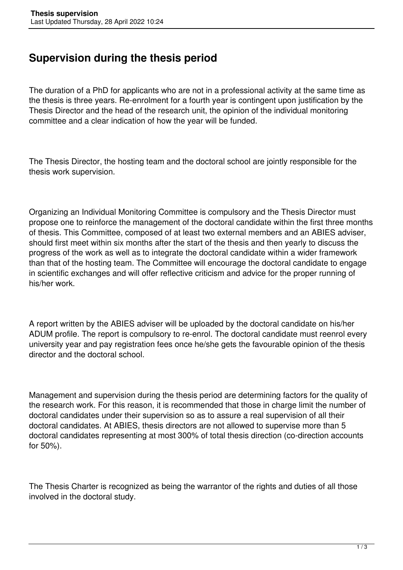## **Supervision during the thesis period**

The duration of a PhD for applicants who are not in a professional activity at the same time as the thesis is three years. Re-enrolment for a fourth year is contingent upon justification by the Thesis Director and the head of the research unit, the opinion of the individual monitoring committee and a clear indication of how the year will be funded.

The Thesis Director, the hosting team and the doctoral school are jointly responsible for the thesis work supervision.

Organizing an Individual Monitoring Committee is compulsory and the Thesis Director must propose one to reinforce the management of the doctoral candidate within the first three months of thesis. This Committee, composed of at least two external members and an ABIES adviser, should first meet within six months after the start of the thesis and then yearly to discuss the progress of the work as well as to integrate the doctoral candidate within a wider framework than that of the hosting team. The Committee will encourage the doctoral candidate to engage in scientific exchanges and will offer reflective criticism and advice for the proper running of his/her work.

A report written by the ABIES adviser will be uploaded by the doctoral candidate on his/her ADUM profile. The report is compulsory to re-enrol. The doctoral candidate must reenrol every university year and pay registration fees once he/she gets the favourable opinion of the thesis director and the doctoral school.

Management and supervision during the thesis period are determining factors for the quality of the research work. For this reason, it is recommended that those in charge limit the number of doctoral candidates under their supervision so as to assure a real supervision of all their doctoral candidates. At ABIES, thesis directors are not allowed to supervise more than 5 doctoral candidates representing at most 300% of total thesis direction (co-direction accounts for 50%).

The Thesis Charter is recognized as being the warrantor of the rights and duties of all those involved in the doctoral study.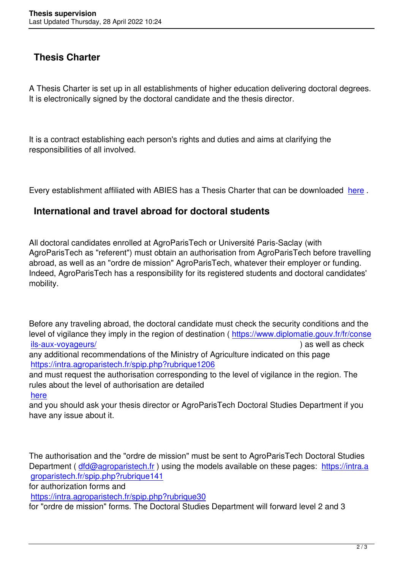## **Thesis Charter**

A Thesis Charter is set up in all establishments of higher education delivering doctoral degrees. It is electronically signed by the doctoral candidate and the thesis director.

It is a contract establishing each person's rights and duties and aims at clarifying the responsibilities of all involved.

Every establishment affiliated with ABIES has a Thesis Charter that can be downloaded here .

## **International and travel abroad for doctoral students**

All doctoral candidates enrolled at AgroParisTech or Université Paris-Saclay (with AgroParisTech as "referent") must obtain an authorisation from AgroParisTech before travelling abroad, as well as an "ordre de mission" AgroParisTech, whatever their employer or funding. Indeed, AgroParisTech has a responsibility for its registered students and doctoral candidates' mobility.

Before any traveling abroad, the doctoral candidate must check the security conditions and the level of vigilance they imply in the region of destination (https://www.diplomatie.gouv.fr/fr/conse ils-aux-voyageurs/ ) as well as check any additional recommendations of the Ministry of Agriculture indicated on this page

https://intra.agroparistech.fr/spip.php?rubrique1206

[and must request th](https://www.diplomatie.gouv.fr/fr/conseils-aux-voyageurs/)e authorisation corresponding to the [level of vigilance in the region. The](https://www.diplomatie.gouv.fr/fr/conseils-aux-voyageurs/) rules about the level of authorisation are detailed

## here

[and you should ask your thesis director or AgroParis](https://intra.agroparistech.fr/spip.php?rubrique1206)Tech Doctoral Studies Department if you have any issue about it.

The authorisation and the "ordre de mission" must be sent to AgroParisTech Doctoral Studies Department ( dfd@agroparistech.fr ) using the models available on these pages: https://intra.a groparistech.fr/spip.php?rubrique141

for authorization forms and

https://intra.a[groparistech.fr/spip.ph](mailto:dfd@agroparistech.fr)p?rubrique30

[for "ordre de mission" forms. The Doc](https://intra.agroparistech.fr/spip.php?rubrique141)toral Studies Department will forward level [2 and 3](https://intra.agroparistech.fr/spip.php?rubrique141)